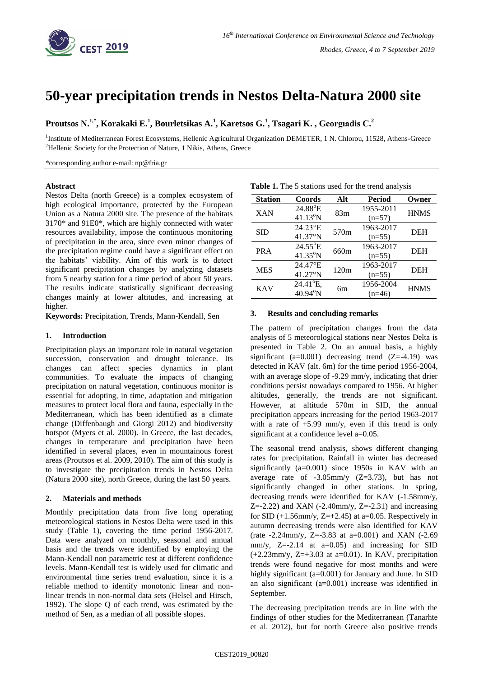

# **50-year precipitation trends in Nestos Delta-Natura 2000 site**

**Proutsos N.1,\* , Korakaki E.<sup>1</sup> , Bourletsikas A.<sup>1</sup> , Karetsos G.<sup>1</sup> , Tsagari K. , Georgıadis C.<sup>2</sup>**

<sup>1</sup>Institute of Mediterranean Forest Ecosystems, Hellenic Agricultural Organization DEMETER, 1 N. Chlorou, 11528, Athens-Greece <sup>2</sup>Hellenic Society for the Protection of Nature, 1 Nikis, Athens, Greece

\*corresponding author e-mail: np@fria.gr

#### **Abstract**

Nestos Delta (north Greece) is a complex ecosystem of high ecological importance, protected by the European Union as a Natura 2000 site. The presence of the habitats 3170\* and 91E0\*, which are highly connected with water resources availability, impose the continuous monitoring of precipitation in the area, since even minor changes of the precipitation regime could have a significant effect on the habitats' viability. Aim of this work is to detect significant precipitation changes by analyzing datasets from 5 nearby station for a time period of about 50 years. The results indicate statistically significant decreasing changes mainly at lower altitudes, and increasing at higher.

**Keywords:** Precipitation, Trends, Mann-Kendall, Sen

### **1. Introduction**

Precipitation plays an important role in natural vegetation succession, conservation and drought tolerance. Its changes can affect species dynamics in plant communities. To evaluate the impacts of changing precipitation on natural vegetation, continuous monitor is essential for adopting, in time, adaptation and mitigation measures to protect local flora and fauna, especially in the Mediterranean, which has been identified as a climate change (Diffenbaugh and Giorgi 2012) and biodiversity hotspot (Myers et al. 2000). In Greece, the last decades, changes in temperature and precipitation have been identified in several places, even in mountainous forest areas (Proutsos et al. 2009, 2010). The aim of this study is to investigate the precipitation trends in Nestos Delta (Natura 2000 site), north Greece, during the last 50 years.

# **2. Materials and methods**

Monthly precipitation data from five long operating meteorological stations in Nestos Delta were used in this study (Table 1), covering the time period 1956-2017. Data were analyzed on monthly, seasonal and annual basis and the trends were identified by employing the Mann-Kendall non parametric test at different confidence levels. Mann-Kendall test is widely used for climatic and environmental time series trend evaluation, since it is a reliable method to identify monotonic linear and nonlinear trends in non-normal data sets (Helsel and Hirsch, 1992). The slope Q of each trend, was estimated by the method of Sen, as a median of all possible slopes.

| <b>Station</b> | Coords            | Alt  | <b>Period</b> | Owner       |  |
|----------------|-------------------|------|---------------|-------------|--|
| <b>XAN</b>     | $24.88^{\circ}E$  |      | 1955-2011     |             |  |
|                | $41.13^{\circ}N$  | 83m  | $(n=57)$      | <b>HNMS</b> |  |
| <b>SID</b>     | 24.23°E           | 570m | 1963-2017     | <b>DEH</b>  |  |
|                | $41.37^{\circ}$ N |      | $(n=55)$      |             |  |
| <b>PRA</b>     | $24.55^{\circ}E$  | 660m | 1963-2017     |             |  |
|                | $41.35^{\circ}N$  |      | $(n=55)$      | DEH         |  |
| <b>MES</b>     | 24.47°E           | 120m | 1963-2017     | <b>DEH</b>  |  |
|                | $41.27^{\circ}$ N |      | $(n=55)$      |             |  |
| <b>KAV</b>     | 24.41°E,          | 6m   | 1956-2004     | <b>HNMS</b> |  |
|                | $40.94^{\circ}$ N |      | $(n=46)$      |             |  |

| Table 1. The 5 stations used for the trend analysis |  |  |  |  |
|-----------------------------------------------------|--|--|--|--|
|                                                     |  |  |  |  |

# **3. Results and concluding remarks**

The pattern of precipitation changes from the data analysis of 5 meteorological stations near Nestos Delta is presented in Table 2. On an annual basis, a highly significant ( $a=0.001$ ) decreasing trend ( $Z=-4.19$ ) was detected in KAV (alt. 6m) for the time period 1956-2004, with an average slope of -9.29 mm/y, indicating that drier conditions persist nowadays compared to 1956. At higher altitudes, generally, the trends are not significant. However, at altitude 570m in SID, the annual precipitation appears increasing for the period 1963-2017 with a rate of  $+5.99$  mm/y, even if this trend is only significant at a confidence level a=0.05.

The seasonal trend analysis, shows different changing rates for precipitation. Rainfall in winter has decreased significantly (a=0.001) since 1950s in KAV with an average rate of  $-3.05$ mm/y  $(Z=3.73)$ , but has not significantly changed in other stations. In spring, decreasing trends were identified for KAV (-1.58mm/y,  $Z = -2.22$ ) and XAN ( $-2.40$ mm/y,  $Z = -2.31$ ) and increasing for SID  $(+1.56$ mm/v,  $Z=+2.45$ ) at a=0.05. Respectively in autumn decreasing trends were also identified for KAV (rate -2.24mm/y, Z=-3.83 at a=0.001) and XAN  $(-2.69)$ mm/y,  $Z=-2.14$  at  $a=0.05$ ) and increasing for SID  $(+2.23$ mm/y, Z=+3.03 at a=0.01). In KAV, precipitation trends were found negative for most months and were highly significant (a=0.001) for January and June. In SID an also significant (a=0.001) increase was identified in September.

The decreasing precipitation trends are in line with the findings of other studies for the Mediterranean (Tanarhte et al. 2012), but for north Greece also positive trends